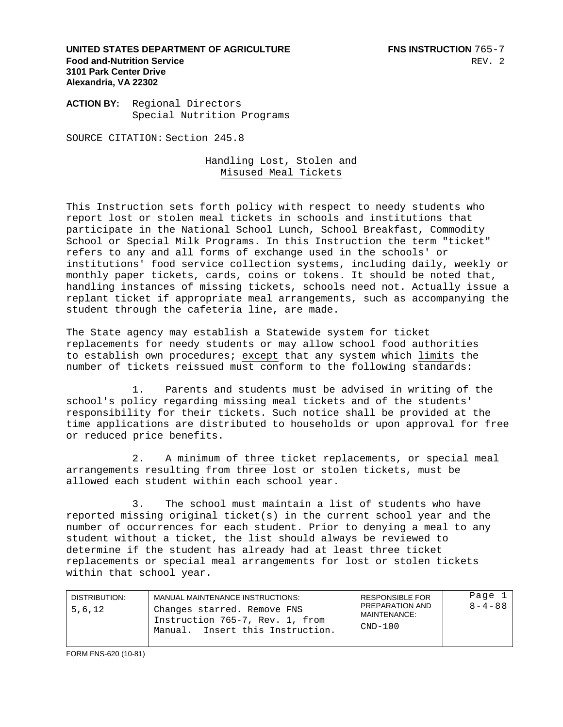**UNITED STATES DEPARTMENT OF AGRICULTURE FILL SEE FOR STATE RISTRUCTION** 765-7 **Food and-Nutrition Service 3101 Park Center Drive Alexandria, VA 22302** 

**ACTION BY:** Regional Directors Special Nutrition Programs

SOURCE CITATION: Section 245.8

Handling Lost, Stolen and Misused Meal Tickets

This Instruction sets forth policy with respect to needy students who report lost or stolen meal tickets in schools and institutions that participate in the National School Lunch, School Breakfast, Commodity School or Special Milk Programs. In this Instruction the term "ticket" refers to any and all forms of exchange used in the schools' or institutions' food service collection systems, including daily, weekly or monthly paper tickets, cards, coins or tokens. It should be noted that, handling instances of missing tickets, schools need not. Actually issue a replant ticket if appropriate meal arrangements, such as accompanying the student through the cafeteria line, are made.

The State agency may establish a Statewide system for ticket replacements for needy students or may allow school food authorities to establish own procedures; except that any system which limits the number of tickets reissued must conform to the following standards:

 1. Parents and students must be advised in writing of the school's policy regarding missing meal tickets and of the students' responsibility for their tickets. Such notice shall be provided at the time applications are distributed to households or upon approval for free or reduced price benefits.

 2. A minimum of three ticket replacements, or special meal arrangements resulting from three lost or stolen tickets, must be allowed each student within each school year.

 3. The school must maintain a list of students who have reported missing original ticket(s) in the current school year and the number of occurrences for each student. Prior to denying a meal to any student without a ticket, the list should always be reviewed to determine if the student has already had at least three ticket replacements or special meal arrangements for lost or stolen tickets within that school year.

| DISTRIBUTION:<br>5,6,12 | MANUAL MAINTENANCE INSTRUCTIONS:<br>Changes starred. Remove FNS<br>Instruction 765-7, Rev. 1, from<br>Manual. Insert this Instruction. | <b>RESPONSIBLE FOR</b><br>PREPARATION AND<br>MAINTENANCE:<br>$CND-100$ | Page 1<br>$8 - 4 - 88$ |
|-------------------------|----------------------------------------------------------------------------------------------------------------------------------------|------------------------------------------------------------------------|------------------------|
|-------------------------|----------------------------------------------------------------------------------------------------------------------------------------|------------------------------------------------------------------------|------------------------|

FORM FNS-620 (10-81)